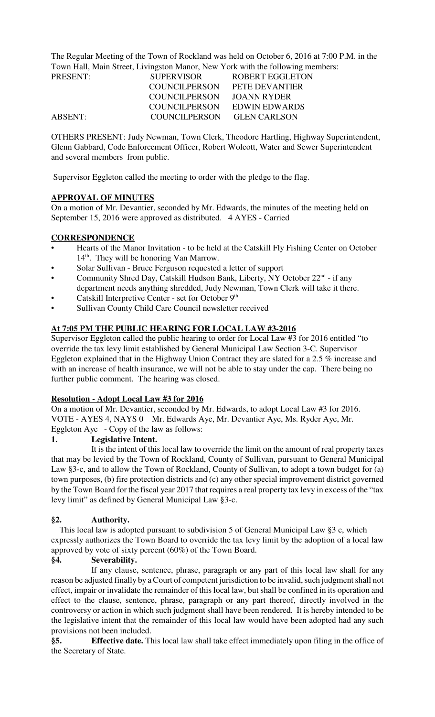The Regular Meeting of the Town of Rockland was held on October 6, 2016 at 7:00 P.M. in the Town Hall, Main Street, Livingston Manor, New York with the following members:

| PRESENT: | <b>SUPERVISOR</b>    | ROBERT EGGLETON     |
|----------|----------------------|---------------------|
|          | COUNCIL PERSON       | PETE DEVANTIER      |
|          | COUNCIL PERSON       | JOANN RYDER         |
|          | <b>COUNCILPERSON</b> | EDWIN EDWARDS       |
| ABSENT:  | COUNCILPERSON        | <b>GLEN CARLSON</b> |

OTHERS PRESENT: Judy Newman, Town Clerk, Theodore Hartling, Highway Superintendent, Glenn Gabbard, Code Enforcement Officer, Robert Wolcott, Water and Sewer Superintendent and several members from public.

Supervisor Eggleton called the meeting to order with the pledge to the flag.

## **APPROVAL OF MINUTES**

On a motion of Mr. Devantier, seconded by Mr. Edwards, the minutes of the meeting held on September 15, 2016 were approved as distributed. 4 AYES - Carried

## **CORRESPONDENCE**

- Hearts of the Manor Invitation to be held at the Catskill Fly Fishing Center on October  $14<sup>th</sup>$ . They will be honoring Van Marrow.
- Solar Sullivan Bruce Ferguson requested a letter of support
- Community Shred Day, Catskill Hudson Bank, Liberty, NY October  $22<sup>nd</sup>$  if any department needs anything shredded, Judy Newman, Town Clerk will take it there.
- Catskill Interpretive Center set for October 9<sup>th</sup>
- Sullivan County Child Care Council newsletter received

# **At 7:05 PM THE PUBLIC HEARING FOR LOCAL LAW #3-2016**

Supervisor Eggleton called the public hearing to order for Local Law #3 for 2016 entitled "to override the tax levy limit established by General Municipal Law Section 3-C. Supervisor Eggleton explained that in the Highway Union Contract they are slated for a 2.5 % increase and with an increase of health insurance, we will not be able to stay under the cap. There being no further public comment. The hearing was closed.

## **Resolution - Adopt Local Law #3 for 2016**

On a motion of Mr. Devantier, seconded by Mr. Edwards, to adopt Local Law #3 for 2016. VOTE - AYES 4, NAYS 0 Mr. Edwards Aye, Mr. Devantier Aye, Ms. Ryder Aye, Mr. Eggleton Aye - Copy of the law as follows:

## **1. Legislative Intent.**

It is the intent of this local law to override the limit on the amount of real property taxes that may be levied by the Town of Rockland, County of Sullivan, pursuant to General Municipal Law §3-c, and to allow the Town of Rockland, County of Sullivan, to adopt a town budget for (a) town purposes, (b) fire protection districts and (c) any other special improvement district governed by the Town Board for the fiscal year 2017 that requires a real property tax levy in excess of the "tax levy limit" as defined by General Municipal Law §3-c.

## **§2. Authority.**

 This local law is adopted pursuant to subdivision 5 of General Municipal Law §3 c, which expressly authorizes the Town Board to override the tax levy limit by the adoption of a local law approved by vote of sixty percent (60%) of the Town Board.

## **§4. Severability.**

If any clause, sentence, phrase, paragraph or any part of this local law shall for any reason be adjusted finally by a Court of competent jurisdiction to be invalid, such judgment shall not effect, impair or invalidate the remainder of this local law, but shall be confined in its operation and effect to the clause, sentence, phrase, paragraph or any part thereof, directly involved in the controversy or action in which such judgment shall have been rendered. It is hereby intended to be the legislative intent that the remainder of this local law would have been adopted had any such provisions not been included.

**§5. Effective date.** This local law shall take effect immediately upon filing in the office of the Secretary of State.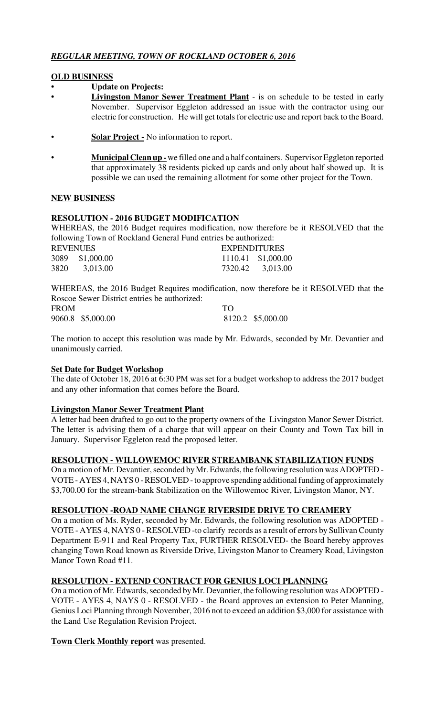# *REGULAR MEETING, TOWN OF ROCKLAND OCTOBER 6, 2016*

# **OLD BUSINESS**

- **Update on Projects:**
- **Livingston Manor Sewer Treatment Plant** is on schedule to be tested in early November. Supervisor Eggleton addressed an issue with the contractor using our electric for construction. He will get totals for electric use and report back to the Board.
- **<u>Solar Project -</u>** No information to report.
- **Municipal Clean up -** we filled one and a half containers. Supervisor Eggleton reported that approximately 38 residents picked up cards and only about half showed up. It is possible we can used the remaining allotment for some other project for the Town.

## **NEW BUSINESS**

# **RESOLUTION - 2016 BUDGET MODIFICATION**

WHEREAS, the 2016 Budget requires modification, now therefore be it RESOLVED that the following Town of Rockland General Fund entries be authorized:

| <b>REVENUES</b> |                 | <b>EXPENDITURES</b> |                    |
|-----------------|-----------------|---------------------|--------------------|
|                 | 3089 \$1,000.00 |                     | 1110.41 \$1,000.00 |
| 3820            | 3,013.00        |                     | 7320.42 3,013.00   |

WHEREAS, the 2016 Budget Requires modification, now therefore be it RESOLVED that the Roscoe Sewer District entries be authorized:

| <b>FROM</b> |                   | TO |                   |  |
|-------------|-------------------|----|-------------------|--|
|             | 9060.8 \$5,000.00 |    | 8120.2 \$5,000.00 |  |

The motion to accept this resolution was made by Mr. Edwards, seconded by Mr. Devantier and unanimously carried.

## **Set Date for Budget Workshop**

The date of October 18, 2016 at 6:30 PM was set for a budget workshop to address the 2017 budget and any other information that comes before the Board.

## **Livingston Manor Sewer Treatment Plant**

A letter had been drafted to go out to the property owners of the Livingston Manor Sewer District. The letter is advising them of a charge that will appear on their County and Town Tax bill in January. Supervisor Eggleton read the proposed letter.

## **RESOLUTION - WILLOWEMOC RIVER STREAMBANK STABILIZATION FUNDS**

On a motion of Mr. Devantier, seconded by Mr. Edwards, the following resolution was ADOPTED - VOTE - AYES 4, NAYS 0 - RESOLVED - to approve spending additional funding of approximately \$3,700.00 for the stream-bank Stabilization on the Willowemoc River, Livingston Manor, NY.

## **RESOLUTION -ROAD NAME CHANGE RIVERSIDE DRIVE TO CREAMERY**

On a motion of Ms. Ryder, seconded by Mr. Edwards, the following resolution was ADOPTED - VOTE - AYES 4, NAYS 0 - RESOLVED -to clarify records as a result of errors by Sullivan County Department E-911 and Real Property Tax, FURTHER RESOLVED- the Board hereby approves changing Town Road known as Riverside Drive, Livingston Manor to Creamery Road, Livingston Manor Town Road #11.

## **RESOLUTION - EXTEND CONTRACT FOR GENIUS LOCI PLANNING**

On a motion of Mr. Edwards, seconded by Mr. Devantier, the following resolution was ADOPTED - VOTE - AYES 4, NAYS 0 - RESOLVED - the Board approves an extension to Peter Manning, Genius Loci Planning through November, 2016 not to exceed an addition \$3,000 for assistance with the Land Use Regulation Revision Project.

## **Town Clerk Monthly report** was presented.